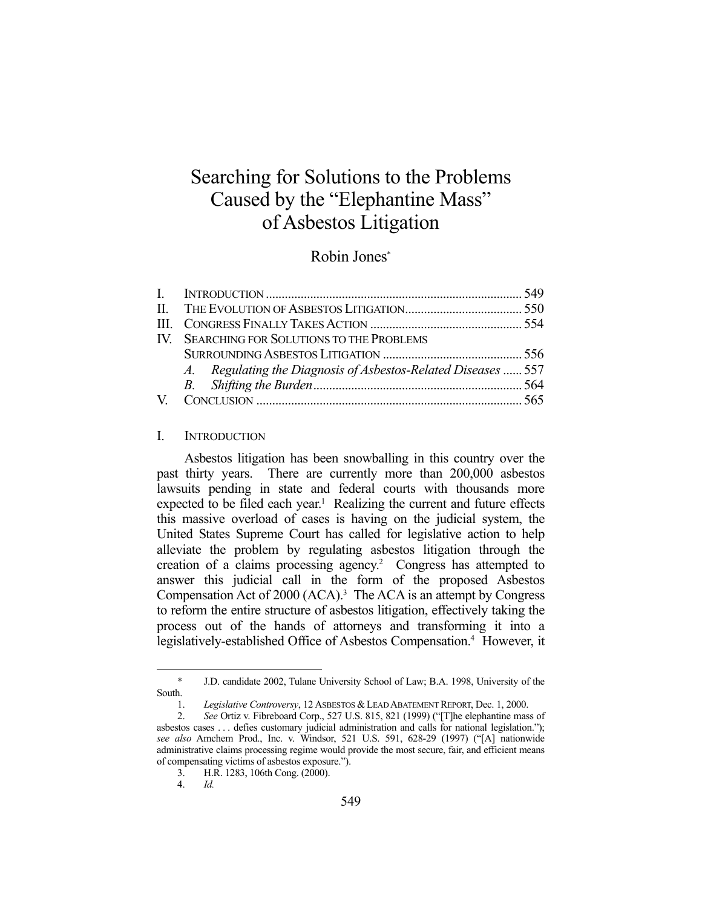# Searching for Solutions to the Problems Caused by the "Elephantine Mass" of Asbestos Litigation

## Robin Jones\*

| IV. SEARCHING FOR SOLUTIONS TO THE PROBLEMS                   |  |
|---------------------------------------------------------------|--|
|                                                               |  |
| A. Regulating the Diagnosis of Asbestos-Related Diseases  557 |  |
|                                                               |  |
|                                                               |  |

### I. INTRODUCTION

 Asbestos litigation has been snowballing in this country over the past thirty years. There are currently more than 200,000 asbestos lawsuits pending in state and federal courts with thousands more expected to be filed each year.<sup>1</sup> Realizing the current and future effects this massive overload of cases is having on the judicial system, the United States Supreme Court has called for legislative action to help alleviate the problem by regulating asbestos litigation through the creation of a claims processing agency.<sup>2</sup> Congress has attempted to answer this judicial call in the form of the proposed Asbestos Compensation Act of 2000 (ACA).<sup>3</sup> The ACA is an attempt by Congress to reform the entire structure of asbestos litigation, effectively taking the process out of the hands of attorneys and transforming it into a legislatively-established Office of Asbestos Compensation.<sup>4</sup> However, it

 <sup>\*</sup> J.D. candidate 2002, Tulane University School of Law; B.A. 1998, University of the South.

 <sup>1.</sup> *Legislative Controversy*, 12 ASBESTOS &LEAD ABATEMENT REPORT, Dec. 1, 2000.

 <sup>2.</sup> *See* Ortiz v. Fibreboard Corp., 527 U.S. 815, 821 (1999) ("[T]he elephantine mass of asbestos cases . . . defies customary judicial administration and calls for national legislation."); *see also* Amchem Prod., Inc. v. Windsor, 521 U.S. 591, 628-29 (1997) ("[A] nationwide administrative claims processing regime would provide the most secure, fair, and efficient means of compensating victims of asbestos exposure.").

 <sup>3.</sup> H.R. 1283, 106th Cong. (2000).

 <sup>4.</sup> *Id.*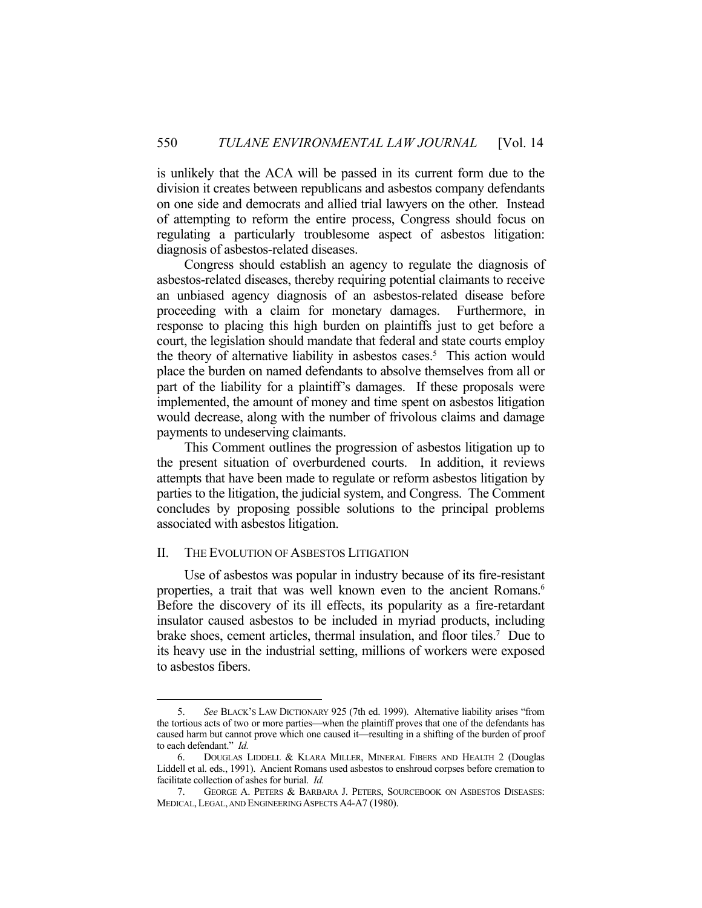is unlikely that the ACA will be passed in its current form due to the division it creates between republicans and asbestos company defendants on one side and democrats and allied trial lawyers on the other. Instead of attempting to reform the entire process, Congress should focus on regulating a particularly troublesome aspect of asbestos litigation: diagnosis of asbestos-related diseases.

 Congress should establish an agency to regulate the diagnosis of asbestos-related diseases, thereby requiring potential claimants to receive an unbiased agency diagnosis of an asbestos-related disease before proceeding with a claim for monetary damages. Furthermore, in response to placing this high burden on plaintiffs just to get before a court, the legislation should mandate that federal and state courts employ the theory of alternative liability in asbestos cases.<sup>5</sup> This action would place the burden on named defendants to absolve themselves from all or part of the liability for a plaintiff's damages. If these proposals were implemented, the amount of money and time spent on asbestos litigation would decrease, along with the number of frivolous claims and damage payments to undeserving claimants.

 This Comment outlines the progression of asbestos litigation up to the present situation of overburdened courts. In addition, it reviews attempts that have been made to regulate or reform asbestos litigation by parties to the litigation, the judicial system, and Congress. The Comment concludes by proposing possible solutions to the principal problems associated with asbestos litigation.

## II. THE EVOLUTION OF ASBESTOS LITIGATION

1

 Use of asbestos was popular in industry because of its fire-resistant properties, a trait that was well known even to the ancient Romans.<sup>6</sup> Before the discovery of its ill effects, its popularity as a fire-retardant insulator caused asbestos to be included in myriad products, including brake shoes, cement articles, thermal insulation, and floor tiles.7 Due to its heavy use in the industrial setting, millions of workers were exposed to asbestos fibers.

 <sup>5.</sup> *See* BLACK'S LAW DICTIONARY 925 (7th ed. 1999). Alternative liability arises "from the tortious acts of two or more parties—when the plaintiff proves that one of the defendants has caused harm but cannot prove which one caused it—resulting in a shifting of the burden of proof to each defendant." *Id.*

 <sup>6.</sup> DOUGLAS LIDDELL & KLARA MILLER, MINERAL FIBERS AND HEALTH 2 (Douglas Liddell et al. eds., 1991). Ancient Romans used asbestos to enshroud corpses before cremation to facilitate collection of ashes for burial. *Id.*

 <sup>7.</sup> GEORGE A. PETERS & BARBARA J. PETERS, SOURCEBOOK ON ASBESTOS DISEASES: MEDICAL, LEGAL, AND ENGINEERING ASPECTS A4-A7 (1980).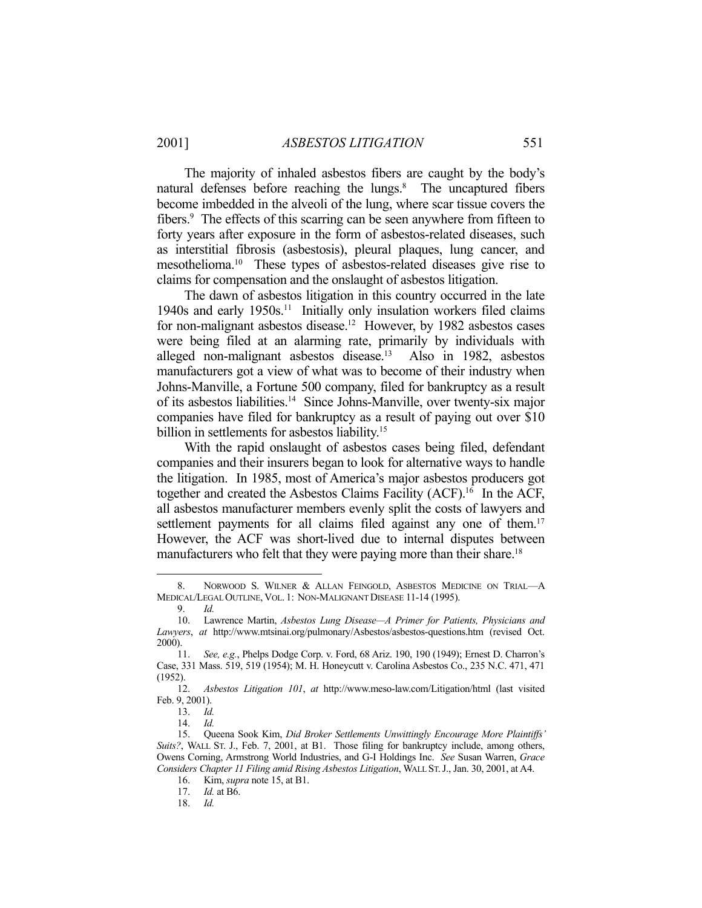The majority of inhaled asbestos fibers are caught by the body's natural defenses before reaching the lungs.<sup>8</sup> The uncaptured fibers become imbedded in the alveoli of the lung, where scar tissue covers the fibers.<sup>9</sup> The effects of this scarring can be seen anywhere from fifteen to forty years after exposure in the form of asbestos-related diseases, such as interstitial fibrosis (asbestosis), pleural plaques, lung cancer, and mesothelioma.10 These types of asbestos-related diseases give rise to claims for compensation and the onslaught of asbestos litigation.

 The dawn of asbestos litigation in this country occurred in the late 1940s and early 1950s.11 Initially only insulation workers filed claims for non-malignant asbestos disease.<sup>12</sup> However, by 1982 asbestos cases were being filed at an alarming rate, primarily by individuals with alleged non-malignant asbestos disease.13 Also in 1982, asbestos manufacturers got a view of what was to become of their industry when Johns-Manville, a Fortune 500 company, filed for bankruptcy as a result of its asbestos liabilities.14 Since Johns-Manville, over twenty-six major companies have filed for bankruptcy as a result of paying out over \$10 billion in settlements for asbestos liability.<sup>15</sup>

 With the rapid onslaught of asbestos cases being filed, defendant companies and their insurers began to look for alternative ways to handle the litigation. In 1985, most of America's major asbestos producers got together and created the Asbestos Claims Facility (ACF).16 In the ACF, all asbestos manufacturer members evenly split the costs of lawyers and settlement payments for all claims filed against any one of them.<sup>17</sup> However, the ACF was short-lived due to internal disputes between manufacturers who felt that they were paying more than their share.<sup>18</sup>

<sup>8.</sup> NORWOOD S. WILNER & ALLAN FEINGOLD, ASBESTOS MEDICINE ON TRIAL-A MEDICAL/LEGAL OUTLINE, VOL. 1: NON-MALIGNANT DISEASE 11-14 (1995).

 <sup>9.</sup> *Id.*

 <sup>10.</sup> Lawrence Martin, *Asbestos Lung Disease—A Primer for Patients, Physicians and Lawyers*, *at* http://www.mtsinai.org/pulmonary/Asbestos/asbestos-questions.htm (revised Oct. 2000).

 <sup>11.</sup> *See, e.g.*, Phelps Dodge Corp. v. Ford, 68 Ariz. 190, 190 (1949); Ernest D. Charron's Case, 331 Mass. 519, 519 (1954); M. H. Honeycutt v. Carolina Asbestos Co., 235 N.C. 471, 471 (1952).

 <sup>12.</sup> *Asbestos Litigation 101*, *at* http://www.meso-law.com/Litigation/html (last visited Feb. 9, 2001).

 <sup>13.</sup> *Id.*

 <sup>14.</sup> *Id.*

 <sup>15.</sup> Queena Sook Kim, *Did Broker Settlements Unwittingly Encourage More Plaintiffs' Suits?*, WALL ST. J., Feb. 7, 2001, at B1. Those filing for bankruptcy include, among others, Owens Corning, Armstrong World Industries, and G-I Holdings Inc. *See* Susan Warren, *Grace Considers Chapter 11 Filing amid Rising Asbestos Litigation*, WALL ST.J., Jan. 30, 2001, at A4.

 <sup>16.</sup> Kim, *supra* note 15, at B1.

 <sup>17.</sup> *Id.* at B6.

 <sup>18.</sup> *Id.*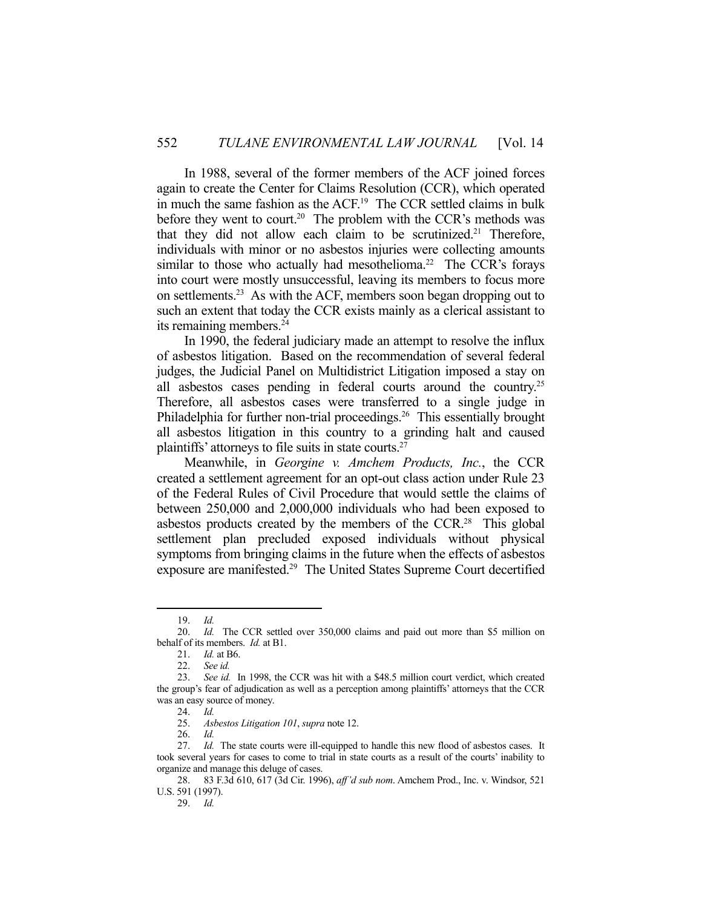In 1988, several of the former members of the ACF joined forces again to create the Center for Claims Resolution (CCR), which operated in much the same fashion as the ACF.19 The CCR settled claims in bulk before they went to court.<sup>20</sup> The problem with the CCR's methods was that they did not allow each claim to be scrutinized.<sup>21</sup> Therefore, individuals with minor or no asbestos injuries were collecting amounts similar to those who actually had mesothelioma.<sup>22</sup> The CCR's forays into court were mostly unsuccessful, leaving its members to focus more on settlements.23 As with the ACF, members soon began dropping out to such an extent that today the CCR exists mainly as a clerical assistant to its remaining members.<sup>24</sup>

 In 1990, the federal judiciary made an attempt to resolve the influx of asbestos litigation. Based on the recommendation of several federal judges, the Judicial Panel on Multidistrict Litigation imposed a stay on all asbestos cases pending in federal courts around the country.<sup>25</sup> Therefore, all asbestos cases were transferred to a single judge in Philadelphia for further non-trial proceedings.<sup>26</sup> This essentially brought all asbestos litigation in this country to a grinding halt and caused plaintiffs' attorneys to file suits in state courts.27

 Meanwhile, in *Georgine v. Amchem Products, Inc.*, the CCR created a settlement agreement for an opt-out class action under Rule 23 of the Federal Rules of Civil Procedure that would settle the claims of between 250,000 and 2,000,000 individuals who had been exposed to asbestos products created by the members of the CCR.<sup>28</sup> This global settlement plan precluded exposed individuals without physical symptoms from bringing claims in the future when the effects of asbestos exposure are manifested.29 The United States Supreme Court decertified

 <sup>19.</sup> *Id.*

 <sup>20.</sup> *Id.* The CCR settled over 350,000 claims and paid out more than \$5 million on behalf of its members. *Id.* at B1.

 <sup>21.</sup> *Id.* at B6.

See id.

 <sup>23.</sup> *See id.* In 1998, the CCR was hit with a \$48.5 million court verdict, which created the group's fear of adjudication as well as a perception among plaintiffs' attorneys that the CCR was an easy source of money.

 <sup>24.</sup> *Id.*

 <sup>25.</sup> *Asbestos Litigation 101*, *supra* note 12.

 <sup>26.</sup> *Id.*

<sup>27.</sup> *Id.* The state courts were ill-equipped to handle this new flood of asbestos cases. It took several years for cases to come to trial in state courts as a result of the courts' inability to organize and manage this deluge of cases.

 <sup>28. 83</sup> F.3d 610, 617 (3d Cir. 1996), *aff'd sub nom*. Amchem Prod., Inc. v. Windsor, 521 U.S. 591 (1997).

 <sup>29.</sup> *Id.*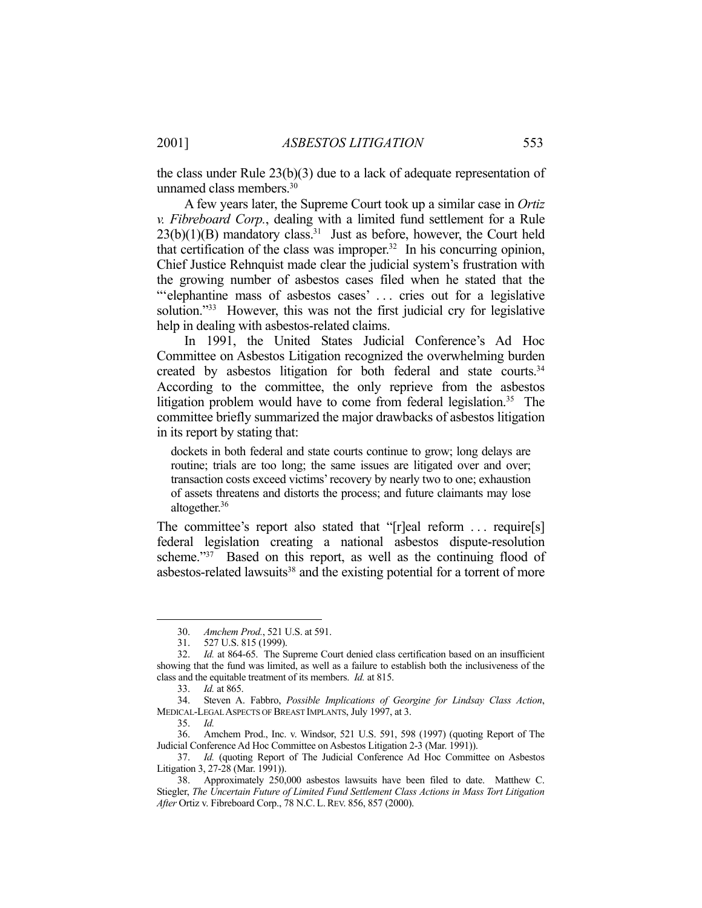the class under Rule 23(b)(3) due to a lack of adequate representation of unnamed class members.30

 A few years later, the Supreme Court took up a similar case in *Ortiz v. Fibreboard Corp.*, dealing with a limited fund settlement for a Rule  $23(b)(1)(B)$  mandatory class.<sup>31</sup> Just as before, however, the Court held that certification of the class was improper. $32$  In his concurring opinion, Chief Justice Rehnquist made clear the judicial system's frustration with the growing number of asbestos cases filed when he stated that the ""elephantine mass of asbestos cases' ... cries out for a legislative solution."<sup>33</sup> However, this was not the first judicial cry for legislative help in dealing with asbestos-related claims.

 In 1991, the United States Judicial Conference's Ad Hoc Committee on Asbestos Litigation recognized the overwhelming burden created by asbestos litigation for both federal and state courts.<sup>34</sup> According to the committee, the only reprieve from the asbestos litigation problem would have to come from federal legislation.<sup>35</sup> The committee briefly summarized the major drawbacks of asbestos litigation in its report by stating that:

dockets in both federal and state courts continue to grow; long delays are routine; trials are too long; the same issues are litigated over and over; transaction costs exceed victims' recovery by nearly two to one; exhaustion of assets threatens and distorts the process; and future claimants may lose altogether.<sup>36</sup>

The committee's report also stated that "[r]eal reform ... require[s] federal legislation creating a national asbestos dispute-resolution scheme."<sup>37</sup> Based on this report, as well as the continuing flood of asbestos-related lawsuits<sup>38</sup> and the existing potential for a torrent of more

 <sup>30.</sup> *Amchem Prod.*, 521 U.S. at 591.

 <sup>31. 527</sup> U.S. 815 (1999).

 <sup>32.</sup> *Id.* at 864-65. The Supreme Court denied class certification based on an insufficient showing that the fund was limited, as well as a failure to establish both the inclusiveness of the class and the equitable treatment of its members. *Id.* at 815.

 <sup>33.</sup> *Id.* at 865.

 <sup>34.</sup> Steven A. Fabbro, *Possible Implications of Georgine for Lindsay Class Action*, MEDICAL-LEGAL ASPECTS OF BREAST IMPLANTS, July 1997, at 3.

 <sup>35.</sup> *Id.*

 <sup>36.</sup> Amchem Prod., Inc. v. Windsor, 521 U.S. 591, 598 (1997) (quoting Report of The Judicial Conference Ad Hoc Committee on Asbestos Litigation 2-3 (Mar. 1991)).

 <sup>37.</sup> *Id.* (quoting Report of The Judicial Conference Ad Hoc Committee on Asbestos Litigation 3, 27-28 (Mar. 1991)).

 <sup>38.</sup> Approximately 250,000 asbestos lawsuits have been filed to date. Matthew C. Stiegler, *The Uncertain Future of Limited Fund Settlement Class Actions in Mass Tort Litigation After* Ortiz v. Fibreboard Corp., 78 N.C. L.REV. 856, 857 (2000).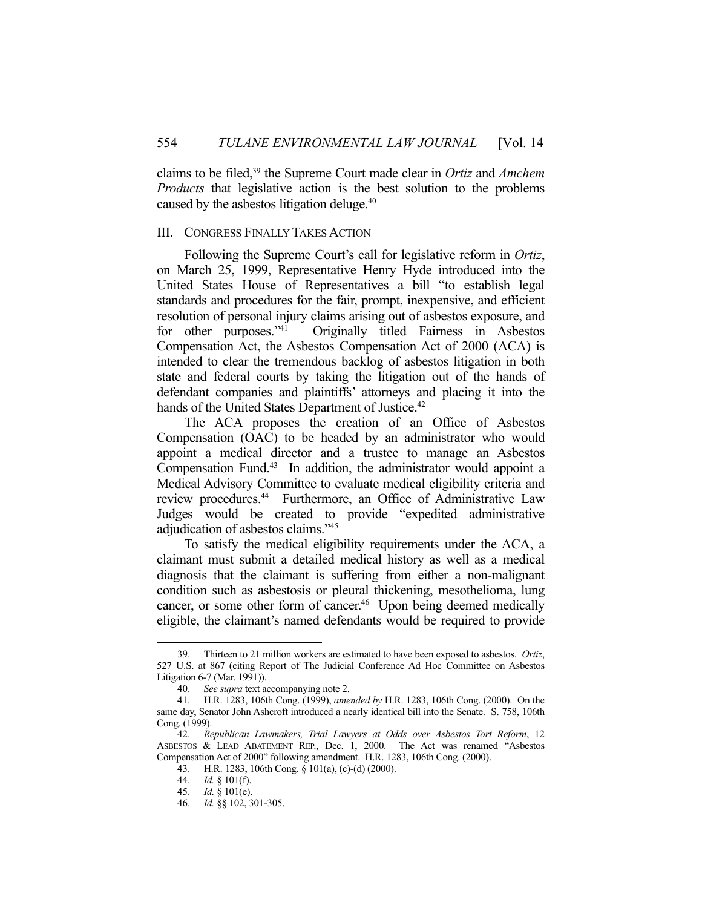claims to be filed,39 the Supreme Court made clear in *Ortiz* and *Amchem Products* that legislative action is the best solution to the problems caused by the asbestos litigation deluge.40

## III. CONGRESS FINALLY TAKES ACTION

 Following the Supreme Court's call for legislative reform in *Ortiz*, on March 25, 1999, Representative Henry Hyde introduced into the United States House of Representatives a bill "to establish legal standards and procedures for the fair, prompt, inexpensive, and efficient resolution of personal injury claims arising out of asbestos exposure, and for other purposes."<sup>41</sup> Originally titled Fairness in Asbestos Compensation Act, the Asbestos Compensation Act of 2000 (ACA) is intended to clear the tremendous backlog of asbestos litigation in both state and federal courts by taking the litigation out of the hands of defendant companies and plaintiffs' attorneys and placing it into the hands of the United States Department of Justice.<sup>42</sup>

 The ACA proposes the creation of an Office of Asbestos Compensation (OAC) to be headed by an administrator who would appoint a medical director and a trustee to manage an Asbestos Compensation Fund.<sup>43</sup> In addition, the administrator would appoint a Medical Advisory Committee to evaluate medical eligibility criteria and review procedures.<sup>44</sup> Furthermore, an Office of Administrative Law Judges would be created to provide "expedited administrative adjudication of asbestos claims."45

 To satisfy the medical eligibility requirements under the ACA, a claimant must submit a detailed medical history as well as a medical diagnosis that the claimant is suffering from either a non-malignant condition such as asbestosis or pleural thickening, mesothelioma, lung cancer, or some other form of cancer.<sup>46</sup> Upon being deemed medically eligible, the claimant's named defendants would be required to provide

 <sup>39.</sup> Thirteen to 21 million workers are estimated to have been exposed to asbestos. *Ortiz*, 527 U.S. at 867 (citing Report of The Judicial Conference Ad Hoc Committee on Asbestos Litigation 6-7 (Mar. 1991)).

 <sup>40.</sup> *See supra* text accompanying note 2.

 <sup>41.</sup> H.R. 1283, 106th Cong. (1999), *amended by* H.R. 1283, 106th Cong. (2000). On the same day, Senator John Ashcroft introduced a nearly identical bill into the Senate. S. 758, 106th Cong. (1999).

 <sup>42.</sup> *Republican Lawmakers, Trial Lawyers at Odds over Asbestos Tort Reform*, 12 ASBESTOS & LEAD ABATEMENT REP., Dec. 1, 2000. The Act was renamed "Asbestos Compensation Act of 2000" following amendment. H.R. 1283, 106th Cong. (2000).

 <sup>43.</sup> H.R. 1283, 106th Cong. § 101(a), (c)-(d) (2000).

 <sup>44.</sup> *Id.* § 101(f).

 <sup>45.</sup> *Id.* § 101(e).

 <sup>46.</sup> *Id.* §§ 102, 301-305.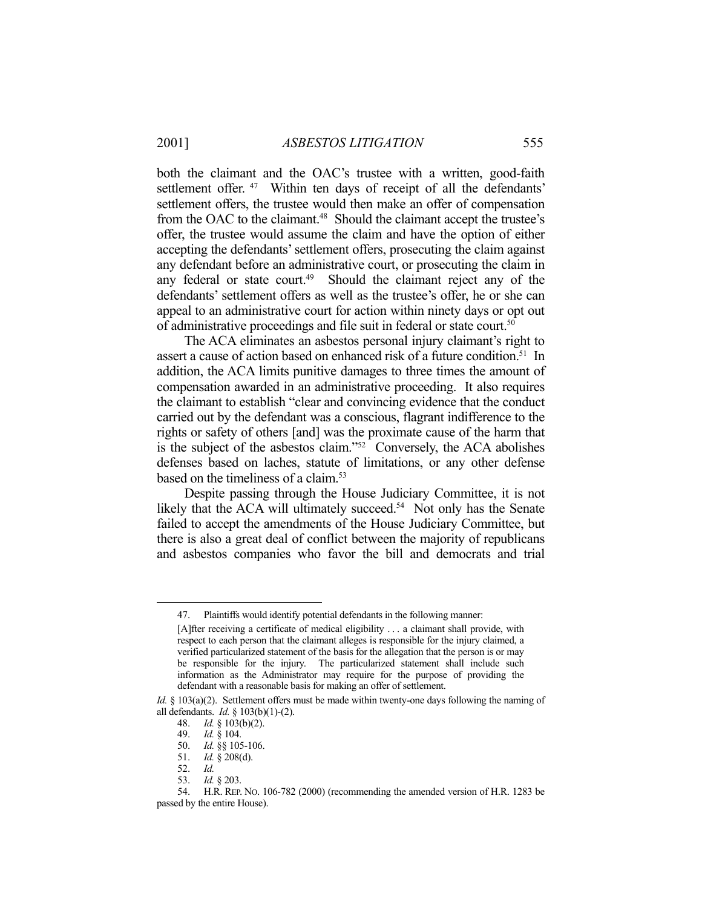both the claimant and the OAC's trustee with a written, good-faith settlement offer.<sup>47</sup> Within ten days of receipt of all the defendants' settlement offers, the trustee would then make an offer of compensation from the OAC to the claimant.<sup>48</sup> Should the claimant accept the trustee's offer, the trustee would assume the claim and have the option of either accepting the defendants' settlement offers, prosecuting the claim against any defendant before an administrative court, or prosecuting the claim in any federal or state court.<sup>49</sup> Should the claimant reject any of the defendants' settlement offers as well as the trustee's offer, he or she can appeal to an administrative court for action within ninety days or opt out of administrative proceedings and file suit in federal or state court.<sup>50</sup>

 The ACA eliminates an asbestos personal injury claimant's right to assert a cause of action based on enhanced risk of a future condition.<sup>51</sup> In addition, the ACA limits punitive damages to three times the amount of compensation awarded in an administrative proceeding. It also requires the claimant to establish "clear and convincing evidence that the conduct carried out by the defendant was a conscious, flagrant indifference to the rights or safety of others [and] was the proximate cause of the harm that is the subject of the asbestos claim."52 Conversely, the ACA abolishes defenses based on laches, statute of limitations, or any other defense based on the timeliness of a claim.53

 Despite passing through the House Judiciary Committee, it is not likely that the ACA will ultimately succeed.<sup>54</sup> Not only has the Senate failed to accept the amendments of the House Judiciary Committee, but there is also a great deal of conflict between the majority of republicans and asbestos companies who favor the bill and democrats and trial

<u>.</u>

 <sup>47.</sup> Plaintiffs would identify potential defendants in the following manner:

<sup>[</sup>A]fter receiving a certificate of medical eligibility . . . a claimant shall provide, with respect to each person that the claimant alleges is responsible for the injury claimed, a verified particularized statement of the basis for the allegation that the person is or may be responsible for the injury. The particularized statement shall include such information as the Administrator may require for the purpose of providing the defendant with a reasonable basis for making an offer of settlement.

*Id.* § 103(a)(2). Settlement offers must be made within twenty-one days following the naming of all defendants. *Id.* § 103(b)(1)-(2).

 <sup>48.</sup> *Id.* § 103(b)(2).

 <sup>49.</sup> *Id.* § 104.

 <sup>50.</sup> *Id.* §§ 105-106.

 <sup>51.</sup> *Id.* § 208(d).

 <sup>52.</sup> *Id.*

 <sup>53.</sup> *Id.* § 203.

 <sup>54.</sup> H.R. REP. NO. 106-782 (2000) (recommending the amended version of H.R. 1283 be passed by the entire House).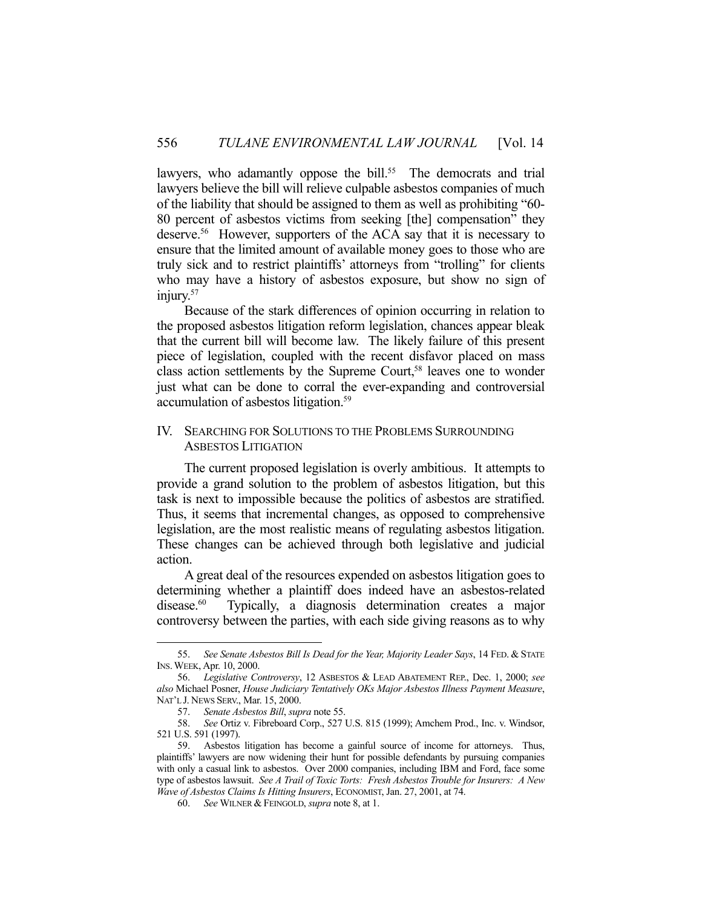lawyers, who adamantly oppose the bill.<sup>55</sup> The democrats and trial lawyers believe the bill will relieve culpable asbestos companies of much of the liability that should be assigned to them as well as prohibiting "60- 80 percent of asbestos victims from seeking [the] compensation" they deserve.56 However, supporters of the ACA say that it is necessary to ensure that the limited amount of available money goes to those who are truly sick and to restrict plaintiffs' attorneys from "trolling" for clients who may have a history of asbestos exposure, but show no sign of injury.<sup>57</sup>

 Because of the stark differences of opinion occurring in relation to the proposed asbestos litigation reform legislation, chances appear bleak that the current bill will become law. The likely failure of this present piece of legislation, coupled with the recent disfavor placed on mass class action settlements by the Supreme Court,<sup>58</sup> leaves one to wonder just what can be done to corral the ever-expanding and controversial accumulation of asbestos litigation.59

## IV. SEARCHING FOR SOLUTIONS TO THE PROBLEMS SURROUNDING ASBESTOS LITIGATION

 The current proposed legislation is overly ambitious. It attempts to provide a grand solution to the problem of asbestos litigation, but this task is next to impossible because the politics of asbestos are stratified. Thus, it seems that incremental changes, as opposed to comprehensive legislation, are the most realistic means of regulating asbestos litigation. These changes can be achieved through both legislative and judicial action.

 A great deal of the resources expended on asbestos litigation goes to determining whether a plaintiff does indeed have an asbestos-related disease.<sup>60</sup> Typically, a diagnosis determination creates a major controversy between the parties, with each side giving reasons as to why

 <sup>55.</sup> *See Senate Asbestos Bill Is Dead for the Year, Majority Leader Says*, 14 FED. & STATE INS.WEEK, Apr. 10, 2000.

 <sup>56.</sup> *Legislative Controversy*, 12 ASBESTOS & LEAD ABATEMENT REP., Dec. 1, 2000; *see also* Michael Posner, *House Judiciary Tentatively OKs Major Asbestos Illness Payment Measure*, NAT'L J. NEWS SERV., Mar. 15, 2000.

 <sup>57.</sup> *Senate Asbestos Bill*, *supra* note 55.

 <sup>58.</sup> *See* Ortiz v. Fibreboard Corp., 527 U.S. 815 (1999); Amchem Prod., Inc. v. Windsor, 521 U.S. 591 (1997).

 <sup>59.</sup> Asbestos litigation has become a gainful source of income for attorneys. Thus, plaintiffs' lawyers are now widening their hunt for possible defendants by pursuing companies with only a casual link to asbestos. Over 2000 companies, including IBM and Ford, face some type of asbestos lawsuit. *See A Trail of Toxic Torts: Fresh Asbestos Trouble for Insurers: A New Wave of Asbestos Claims Is Hitting Insurers*, ECONOMIST, Jan. 27, 2001, at 74.

 <sup>60.</sup> *See* WILNER & FEINGOLD, *supra* note 8, at 1.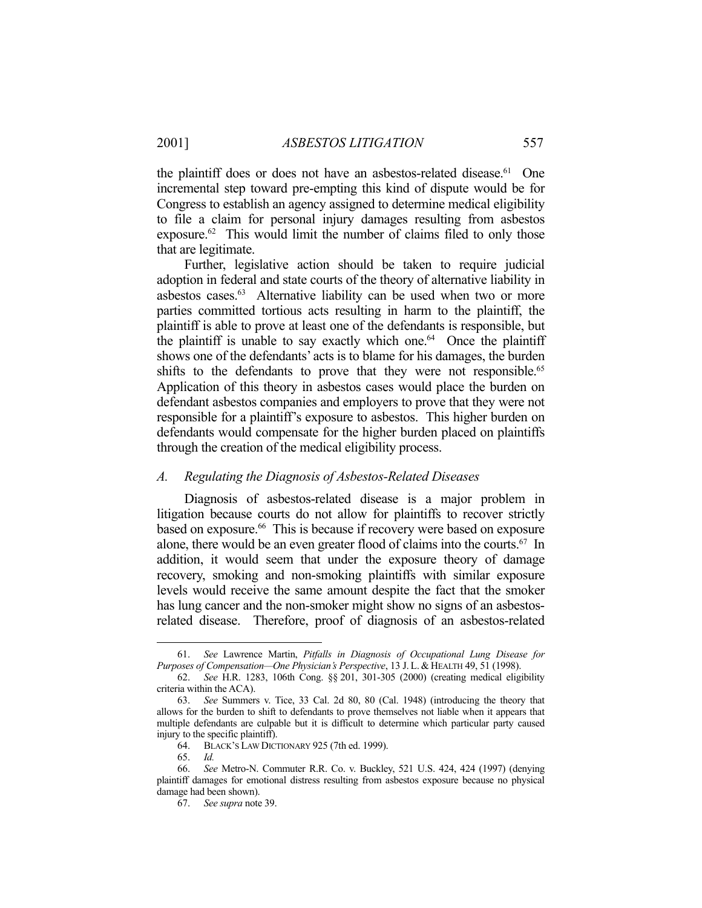the plaintiff does or does not have an asbestos-related disease. 61 One incremental step toward pre-empting this kind of dispute would be for Congress to establish an agency assigned to determine medical eligibility to file a claim for personal injury damages resulting from asbestos exposure.<sup>62</sup> This would limit the number of claims filed to only those that are legitimate.

 Further, legislative action should be taken to require judicial adoption in federal and state courts of the theory of alternative liability in asbestos cases.<sup>63</sup> Alternative liability can be used when two or more parties committed tortious acts resulting in harm to the plaintiff, the plaintiff is able to prove at least one of the defendants is responsible, but the plaintiff is unable to say exactly which one.<sup>64</sup> Once the plaintiff shows one of the defendants' acts is to blame for his damages, the burden shifts to the defendants to prove that they were not responsible.<sup>65</sup> Application of this theory in asbestos cases would place the burden on defendant asbestos companies and employers to prove that they were not responsible for a plaintiff's exposure to asbestos. This higher burden on defendants would compensate for the higher burden placed on plaintiffs through the creation of the medical eligibility process.

### *A. Regulating the Diagnosis of Asbestos-Related Diseases*

 Diagnosis of asbestos-related disease is a major problem in litigation because courts do not allow for plaintiffs to recover strictly based on exposure.<sup>66</sup> This is because if recovery were based on exposure alone, there would be an even greater flood of claims into the courts.<sup>67</sup> In addition, it would seem that under the exposure theory of damage recovery, smoking and non-smoking plaintiffs with similar exposure levels would receive the same amount despite the fact that the smoker has lung cancer and the non-smoker might show no signs of an asbestosrelated disease. Therefore, proof of diagnosis of an asbestos-related

 <sup>61.</sup> *See* Lawrence Martin, *Pitfalls in Diagnosis of Occupational Lung Disease for Purposes of Compensation—One Physician's Perspective*, 13 J. L. & HEALTH 49, 51 (1998).

 <sup>62.</sup> *See* H.R. 1283, 106th Cong. §§ 201, 301-305 (2000) (creating medical eligibility criteria within the ACA).

 <sup>63.</sup> *See* Summers v. Tice, 33 Cal. 2d 80, 80 (Cal. 1948) (introducing the theory that allows for the burden to shift to defendants to prove themselves not liable when it appears that multiple defendants are culpable but it is difficult to determine which particular party caused injury to the specific plaintiff).

 <sup>64.</sup> BLACK'S LAW DICTIONARY 925 (7th ed. 1999).

 <sup>65.</sup> *Id.*

 <sup>66.</sup> *See* Metro-N. Commuter R.R. Co. v. Buckley, 521 U.S. 424, 424 (1997) (denying plaintiff damages for emotional distress resulting from asbestos exposure because no physical damage had been shown).

 <sup>67.</sup> *See supra* note 39.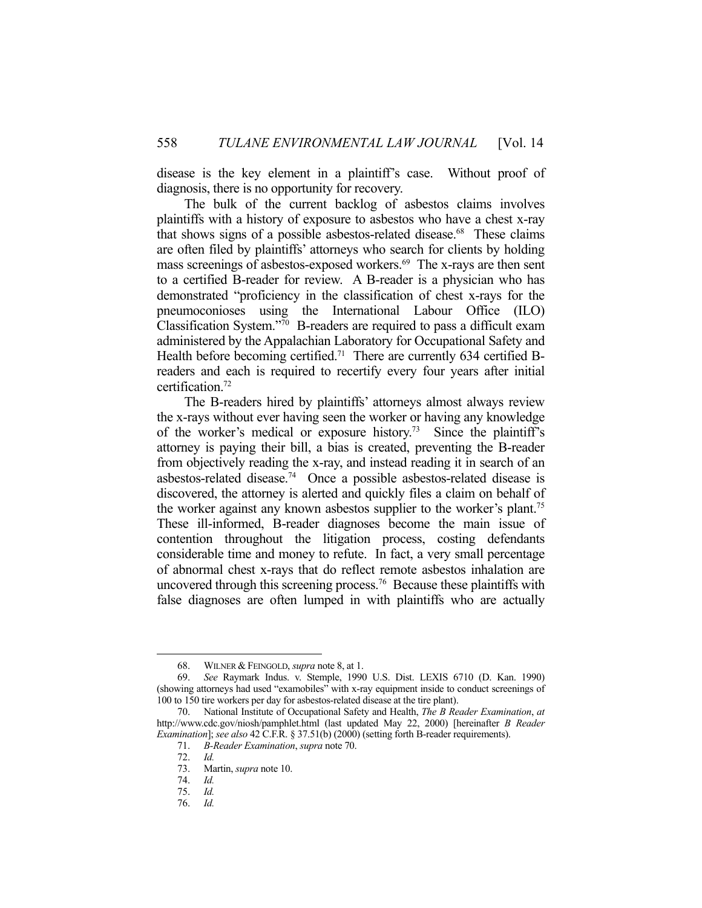disease is the key element in a plaintiff's case. Without proof of diagnosis, there is no opportunity for recovery.

 The bulk of the current backlog of asbestos claims involves plaintiffs with a history of exposure to asbestos who have a chest x-ray that shows signs of a possible asbestos-related disease.<sup>68</sup> These claims are often filed by plaintiffs' attorneys who search for clients by holding mass screenings of asbestos-exposed workers.<sup>69</sup> The x-rays are then sent to a certified B-reader for review. A B-reader is a physician who has demonstrated "proficiency in the classification of chest x-rays for the pneumoconioses using the International Labour Office (ILO) Classification System."70 B-readers are required to pass a difficult exam administered by the Appalachian Laboratory for Occupational Safety and Health before becoming certified.<sup>71</sup> There are currently 634 certified Breaders and each is required to recertify every four years after initial certification.72

 The B-readers hired by plaintiffs' attorneys almost always review the x-rays without ever having seen the worker or having any knowledge of the worker's medical or exposure history.<sup>73</sup> Since the plaintiff's attorney is paying their bill, a bias is created, preventing the B-reader from objectively reading the x-ray, and instead reading it in search of an asbestos-related disease.74 Once a possible asbestos-related disease is discovered, the attorney is alerted and quickly files a claim on behalf of the worker against any known asbestos supplier to the worker's plant.75 These ill-informed, B-reader diagnoses become the main issue of contention throughout the litigation process, costing defendants considerable time and money to refute. In fact, a very small percentage of abnormal chest x-rays that do reflect remote asbestos inhalation are uncovered through this screening process.<sup>76</sup> Because these plaintiffs with false diagnoses are often lumped in with plaintiffs who are actually

<u>.</u>

 <sup>68.</sup> WILNER & FEINGOLD, *supra* note 8, at 1.

 <sup>69.</sup> *See* Raymark Indus. v. Stemple, 1990 U.S. Dist. LEXIS 6710 (D. Kan. 1990) (showing attorneys had used "examobiles" with x-ray equipment inside to conduct screenings of 100 to 150 tire workers per day for asbestos-related disease at the tire plant).

 <sup>70.</sup> National Institute of Occupational Safety and Health, *The B Reader Examination*, *at* http://www.cdc.gov/niosh/pamphlet.html (last updated May 22, 2000) [hereinafter *B Reader Examination*]; *see also* 42 C.F.R. § 37.51(b) (2000) (setting forth B-reader requirements).

 <sup>71.</sup> *B-Reader Examination*, *supra* note 70.

 <sup>72.</sup> *Id.*

Martin, *supra* note 10.

 <sup>74.</sup> *Id.*

 <sup>75.</sup> *Id.*

 <sup>76.</sup> *Id.*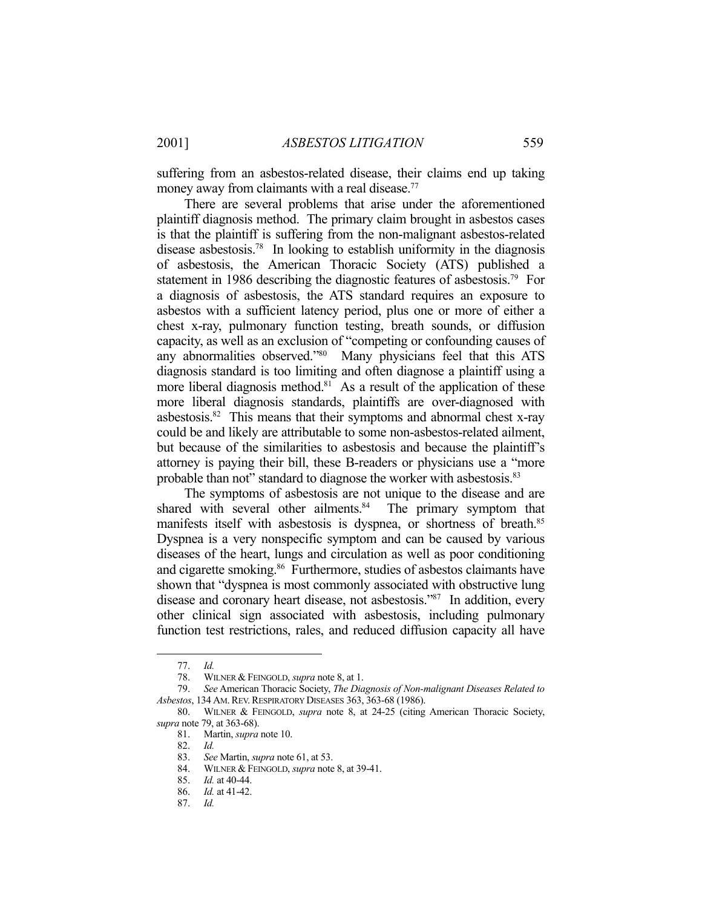suffering from an asbestos-related disease, their claims end up taking money away from claimants with a real disease.<sup>77</sup>

 There are several problems that arise under the aforementioned plaintiff diagnosis method. The primary claim brought in asbestos cases is that the plaintiff is suffering from the non-malignant asbestos-related disease asbestosis.78 In looking to establish uniformity in the diagnosis of asbestosis, the American Thoracic Society (ATS) published a statement in 1986 describing the diagnostic features of asbestosis.<sup>79</sup> For a diagnosis of asbestosis, the ATS standard requires an exposure to asbestos with a sufficient latency period, plus one or more of either a chest x-ray, pulmonary function testing, breath sounds, or diffusion capacity, as well as an exclusion of "competing or confounding causes of any abnormalities observed."80 Many physicians feel that this ATS diagnosis standard is too limiting and often diagnose a plaintiff using a more liberal diagnosis method.<sup>81</sup> As a result of the application of these more liberal diagnosis standards, plaintiffs are over-diagnosed with asbestosis.82 This means that their symptoms and abnormal chest x-ray could be and likely are attributable to some non-asbestos-related ailment, but because of the similarities to asbestosis and because the plaintiff's attorney is paying their bill, these B-readers or physicians use a "more probable than not" standard to diagnose the worker with asbestosis.<sup>83</sup>

 The symptoms of asbestosis are not unique to the disease and are shared with several other ailments.<sup>84</sup> The primary symptom that manifests itself with asbestosis is dyspnea, or shortness of breath.<sup>85</sup> Dyspnea is a very nonspecific symptom and can be caused by various diseases of the heart, lungs and circulation as well as poor conditioning and cigarette smoking.<sup>86</sup> Furthermore, studies of asbestos claimants have shown that "dyspnea is most commonly associated with obstructive lung disease and coronary heart disease, not asbestosis."87 In addition, every other clinical sign associated with asbestosis, including pulmonary function test restrictions, rales, and reduced diffusion capacity all have

<u>.</u>

 <sup>77.</sup> *Id.*

 <sup>78.</sup> WILNER & FEINGOLD, *supra* note 8, at 1. 79. *See* American Thoracic Society, *The Diagnosis of Non-malignant Diseases Related to Asbestos*, 134 AM.REV.RESPIRATORY DISEASES 363, 363-68 (1986).

 <sup>80.</sup> WILNER & FEINGOLD, *supra* note 8, at 24-25 (citing American Thoracic Society, *supra* note 79, at 363-68).

 <sup>81.</sup> Martin, *supra* note 10.

 <sup>82.</sup> *Id.*

 <sup>83.</sup> *See* Martin, *supra* note 61, at 53.

 <sup>84.</sup> WILNER & FEINGOLD, *supra* note 8, at 39-41.

 <sup>85.</sup> *Id.* at 40-44.

 <sup>86.</sup> *Id.* at 41-42.

 <sup>87.</sup> *Id.*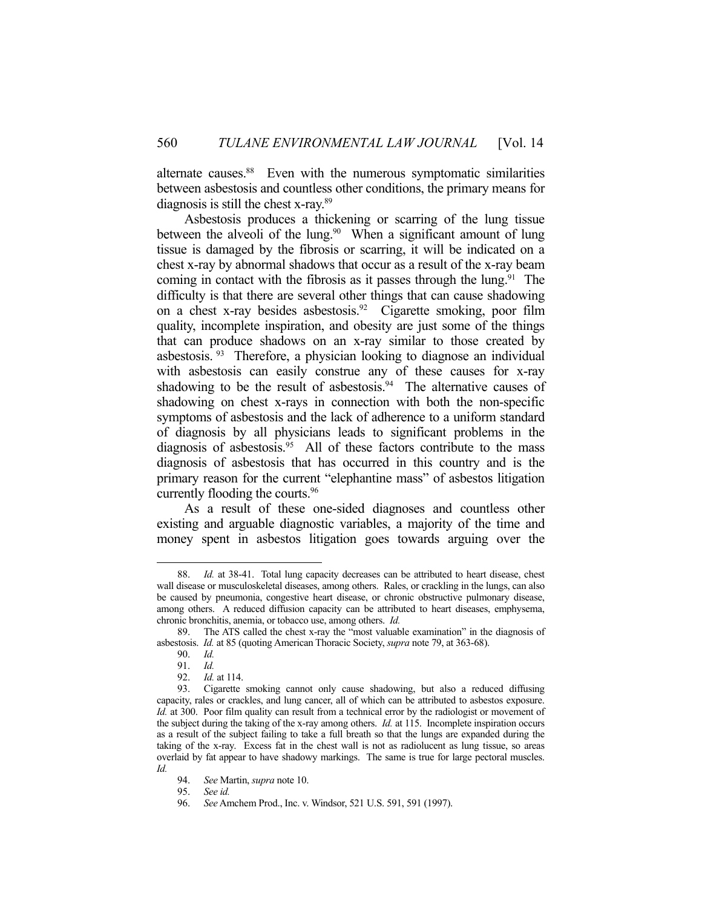alternate causes.<sup>88</sup> Even with the numerous symptomatic similarities between asbestosis and countless other conditions, the primary means for diagnosis is still the chest x-ray.89

 Asbestosis produces a thickening or scarring of the lung tissue between the alveoli of the lung.<sup>90</sup> When a significant amount of lung tissue is damaged by the fibrosis or scarring, it will be indicated on a chest x-ray by abnormal shadows that occur as a result of the x-ray beam coming in contact with the fibrosis as it passes through the lung.<sup>91</sup> The difficulty is that there are several other things that can cause shadowing on a chest x-ray besides asbestosis.92 Cigarette smoking, poor film quality, incomplete inspiration, and obesity are just some of the things that can produce shadows on an x-ray similar to those created by asbestosis. 93 Therefore, a physician looking to diagnose an individual with asbestosis can easily construe any of these causes for x-ray shadowing to be the result of asbestosis.<sup>94</sup> The alternative causes of shadowing on chest x-rays in connection with both the non-specific symptoms of asbestosis and the lack of adherence to a uniform standard of diagnosis by all physicians leads to significant problems in the diagnosis of asbestosis.<sup>95</sup> All of these factors contribute to the mass diagnosis of asbestosis that has occurred in this country and is the primary reason for the current "elephantine mass" of asbestos litigation currently flooding the courts.96

 As a result of these one-sided diagnoses and countless other existing and arguable diagnostic variables, a majority of the time and money spent in asbestos litigation goes towards arguing over the

 <sup>88.</sup> *Id.* at 38-41. Total lung capacity decreases can be attributed to heart disease, chest wall disease or musculoskeletal diseases, among others. Rales, or crackling in the lungs, can also be caused by pneumonia, congestive heart disease, or chronic obstructive pulmonary disease, among others. A reduced diffusion capacity can be attributed to heart diseases, emphysema, chronic bronchitis, anemia, or tobacco use, among others. *Id.*

 <sup>89.</sup> The ATS called the chest x-ray the "most valuable examination" in the diagnosis of asbestosis. *Id.* at 85 (quoting American Thoracic Society, *supra* note 79, at 363-68).

 <sup>90.</sup> *Id.*

 <sup>91.</sup> *Id.*

 <sup>92.</sup> *Id.* at 114.

 <sup>93.</sup> Cigarette smoking cannot only cause shadowing, but also a reduced diffusing capacity, rales or crackles, and lung cancer, all of which can be attributed to asbestos exposure. *Id.* at 300. Poor film quality can result from a technical error by the radiologist or movement of the subject during the taking of the x-ray among others. *Id.* at 115. Incomplete inspiration occurs as a result of the subject failing to take a full breath so that the lungs are expanded during the taking of the x-ray. Excess fat in the chest wall is not as radiolucent as lung tissue, so areas overlaid by fat appear to have shadowy markings. The same is true for large pectoral muscles. *Id.*

 <sup>94.</sup> *See* Martin, *supra* note 10.

 <sup>95.</sup> *See id.*

 <sup>96.</sup> *See* Amchem Prod., Inc. v. Windsor, 521 U.S. 591, 591 (1997).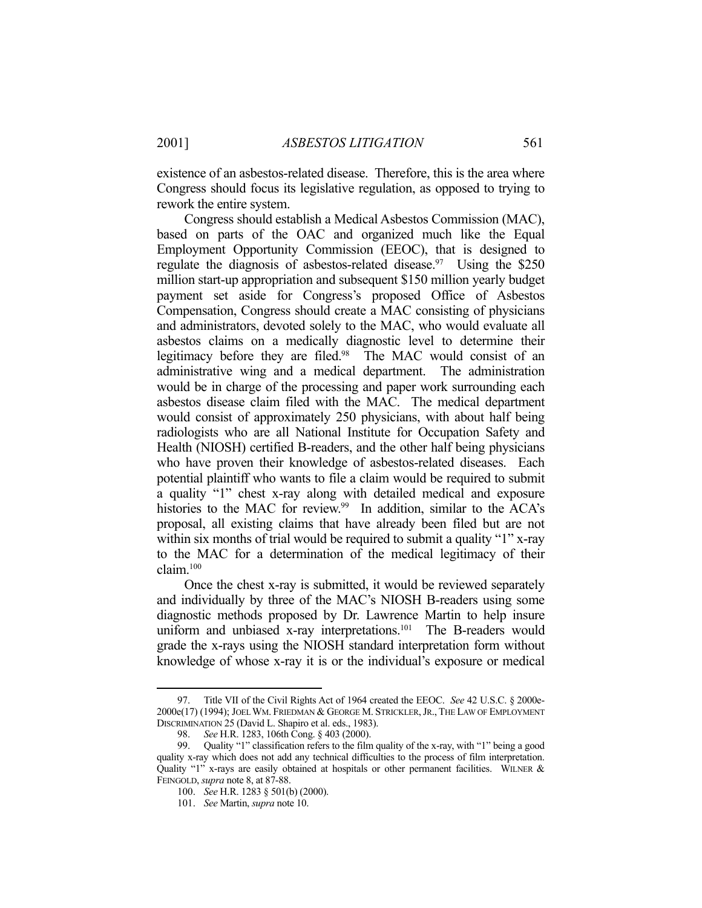existence of an asbestos-related disease. Therefore, this is the area where Congress should focus its legislative regulation, as opposed to trying to rework the entire system.

 Congress should establish a Medical Asbestos Commission (MAC), based on parts of the OAC and organized much like the Equal Employment Opportunity Commission (EEOC), that is designed to regulate the diagnosis of asbestos-related disease.<sup>97</sup> Using the \$250 million start-up appropriation and subsequent \$150 million yearly budget payment set aside for Congress's proposed Office of Asbestos Compensation, Congress should create a MAC consisting of physicians and administrators, devoted solely to the MAC, who would evaluate all asbestos claims on a medically diagnostic level to determine their legitimacy before they are filed.<sup>98</sup> The MAC would consist of an administrative wing and a medical department. The administration would be in charge of the processing and paper work surrounding each asbestos disease claim filed with the MAC. The medical department would consist of approximately 250 physicians, with about half being radiologists who are all National Institute for Occupation Safety and Health (NIOSH) certified B-readers, and the other half being physicians who have proven their knowledge of asbestos-related diseases. Each potential plaintiff who wants to file a claim would be required to submit a quality "1" chest x-ray along with detailed medical and exposure histories to the MAC for review.<sup>99</sup> In addition, similar to the ACA's proposal, all existing claims that have already been filed but are not within six months of trial would be required to submit a quality "1" x-ray to the MAC for a determination of the medical legitimacy of their claim.100

 Once the chest x-ray is submitted, it would be reviewed separately and individually by three of the MAC's NIOSH B-readers using some diagnostic methods proposed by Dr. Lawrence Martin to help insure uniform and unbiased x-ray interpretations.<sup>101</sup> The B-readers would grade the x-rays using the NIOSH standard interpretation form without knowledge of whose x-ray it is or the individual's exposure or medical

 <sup>97.</sup> Title VII of the Civil Rights Act of 1964 created the EEOC. *See* 42 U.S.C. § 2000e-2000e(17) (1994); JOEL WM. FRIEDMAN & GEORGE M. STRICKLER,JR., THE LAW OF EMPLOYMENT DISCRIMINATION 25 (David L. Shapiro et al. eds., 1983).

 <sup>98.</sup> *See* H.R. 1283, 106th Cong. § 403 (2000).

 <sup>99.</sup> Quality "1" classification refers to the film quality of the x-ray, with "1" being a good quality x-ray which does not add any technical difficulties to the process of film interpretation. Quality "1" x-rays are easily obtained at hospitals or other permanent facilities. WILNER & FEINGOLD, *supra* note 8, at 87-88.

 <sup>100.</sup> *See* H.R. 1283 § 501(b) (2000).

 <sup>101.</sup> *See* Martin, *supra* note 10.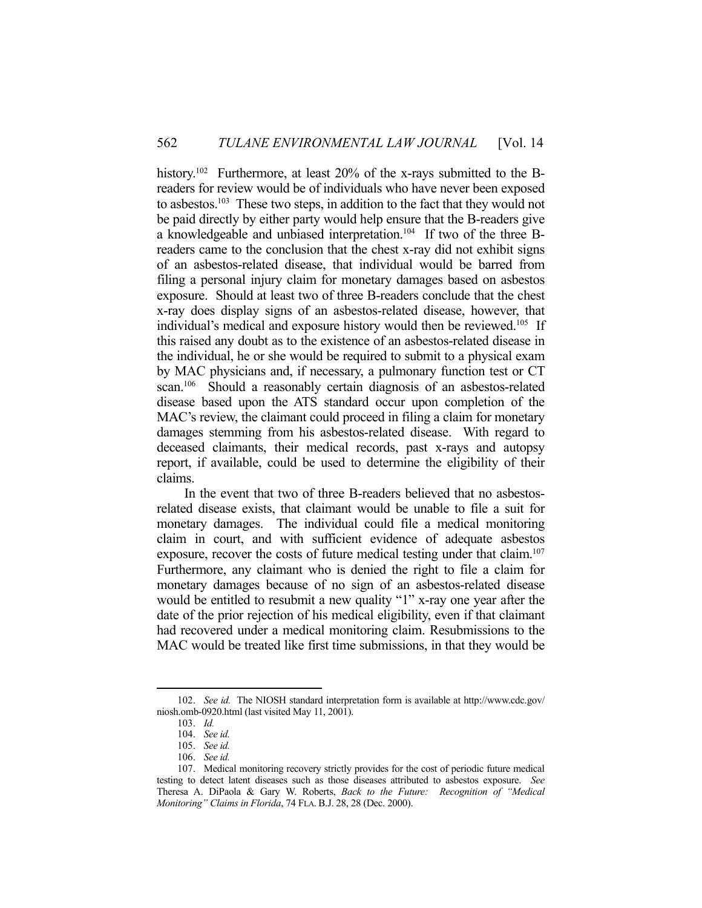history.<sup>102</sup> Furthermore, at least 20% of the x-rays submitted to the Breaders for review would be of individuals who have never been exposed to asbestos.103 These two steps, in addition to the fact that they would not be paid directly by either party would help ensure that the B-readers give a knowledgeable and unbiased interpretation.104 If two of the three Breaders came to the conclusion that the chest x-ray did not exhibit signs of an asbestos-related disease, that individual would be barred from filing a personal injury claim for monetary damages based on asbestos exposure. Should at least two of three B-readers conclude that the chest x-ray does display signs of an asbestos-related disease, however, that individual's medical and exposure history would then be reviewed.<sup>105</sup> If this raised any doubt as to the existence of an asbestos-related disease in the individual, he or she would be required to submit to a physical exam by MAC physicians and, if necessary, a pulmonary function test or CT scan.<sup>106</sup> Should a reasonably certain diagnosis of an asbestos-related disease based upon the ATS standard occur upon completion of the MAC's review, the claimant could proceed in filing a claim for monetary damages stemming from his asbestos-related disease. With regard to deceased claimants, their medical records, past x-rays and autopsy report, if available, could be used to determine the eligibility of their claims.

 In the event that two of three B-readers believed that no asbestosrelated disease exists, that claimant would be unable to file a suit for monetary damages. The individual could file a medical monitoring claim in court, and with sufficient evidence of adequate asbestos exposure, recover the costs of future medical testing under that claim.<sup>107</sup> Furthermore, any claimant who is denied the right to file a claim for monetary damages because of no sign of an asbestos-related disease would be entitled to resubmit a new quality "1" x-ray one year after the date of the prior rejection of his medical eligibility, even if that claimant had recovered under a medical monitoring claim. Resubmissions to the MAC would be treated like first time submissions, in that they would be

 <sup>102.</sup> *See id.* The NIOSH standard interpretation form is available at http://www.cdc.gov/ niosh.omb-0920.html (last visited May 11, 2001).

 <sup>103.</sup> *Id.* 

 <sup>104.</sup> *See id.*

 <sup>105.</sup> *See id.*

 <sup>106.</sup> *See id.*

 <sup>107.</sup> Medical monitoring recovery strictly provides for the cost of periodic future medical testing to detect latent diseases such as those diseases attributed to asbestos exposure. *See* Theresa A. DiPaola & Gary W. Roberts, *Back to the Future: Recognition of "Medical Monitoring" Claims in Florida*, 74 FLA. B.J. 28, 28 (Dec. 2000).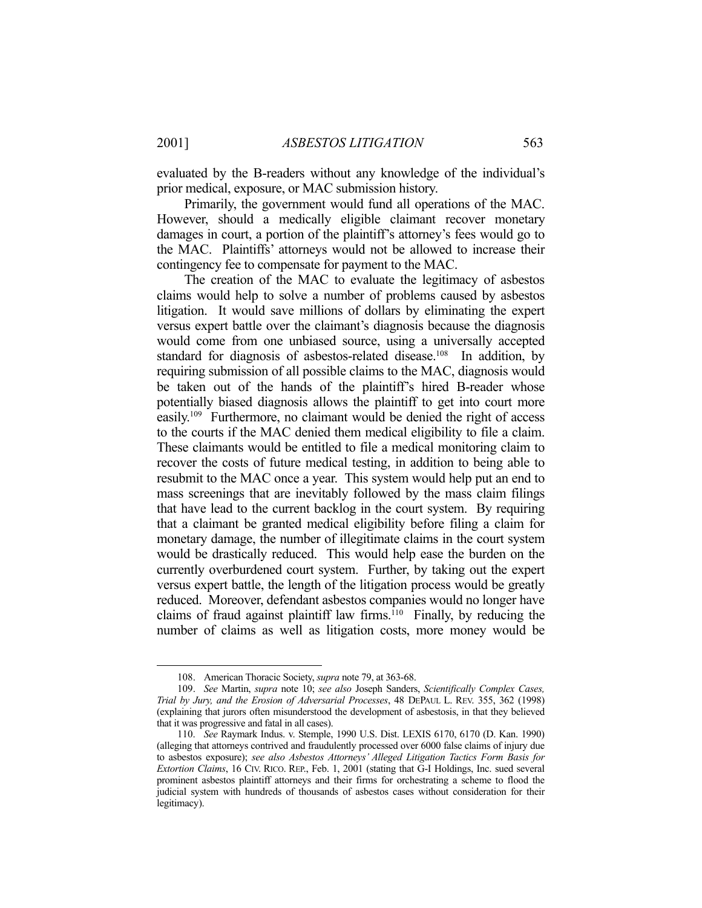evaluated by the B-readers without any knowledge of the individual's prior medical, exposure, or MAC submission history.

 Primarily, the government would fund all operations of the MAC. However, should a medically eligible claimant recover monetary damages in court, a portion of the plaintiff's attorney's fees would go to the MAC. Plaintiffs' attorneys would not be allowed to increase their contingency fee to compensate for payment to the MAC.

 The creation of the MAC to evaluate the legitimacy of asbestos claims would help to solve a number of problems caused by asbestos litigation. It would save millions of dollars by eliminating the expert versus expert battle over the claimant's diagnosis because the diagnosis would come from one unbiased source, using a universally accepted standard for diagnosis of asbestos-related disease.<sup>108</sup> In addition, by requiring submission of all possible claims to the MAC, diagnosis would be taken out of the hands of the plaintiff's hired B-reader whose potentially biased diagnosis allows the plaintiff to get into court more easily.109 Furthermore, no claimant would be denied the right of access to the courts if the MAC denied them medical eligibility to file a claim. These claimants would be entitled to file a medical monitoring claim to recover the costs of future medical testing, in addition to being able to resubmit to the MAC once a year. This system would help put an end to mass screenings that are inevitably followed by the mass claim filings that have lead to the current backlog in the court system. By requiring that a claimant be granted medical eligibility before filing a claim for monetary damage, the number of illegitimate claims in the court system would be drastically reduced. This would help ease the burden on the currently overburdened court system. Further, by taking out the expert versus expert battle, the length of the litigation process would be greatly reduced. Moreover, defendant asbestos companies would no longer have claims of fraud against plaintiff law firms.<sup>110</sup> Finally, by reducing the number of claims as well as litigation costs, more money would be

 <sup>108.</sup> American Thoracic Society, *supra* note 79, at 363-68.

 <sup>109.</sup> *See* Martin, *supra* note 10; *see also* Joseph Sanders, *Scientifically Complex Cases, Trial by Jury, and the Erosion of Adversarial Processes*, 48 DEPAUL L. REV. 355, 362 (1998) (explaining that jurors often misunderstood the development of asbestosis, in that they believed that it was progressive and fatal in all cases).

 <sup>110.</sup> *See* Raymark Indus. v. Stemple, 1990 U.S. Dist. LEXIS 6170, 6170 (D. Kan. 1990) (alleging that attorneys contrived and fraudulently processed over 6000 false claims of injury due to asbestos exposure); *see also Asbestos Attorneys' Alleged Litigation Tactics Form Basis for Extortion Claims*, 16 CIV. RICO. REP., Feb. 1, 2001 (stating that G-I Holdings, Inc. sued several prominent asbestos plaintiff attorneys and their firms for orchestrating a scheme to flood the judicial system with hundreds of thousands of asbestos cases without consideration for their legitimacy).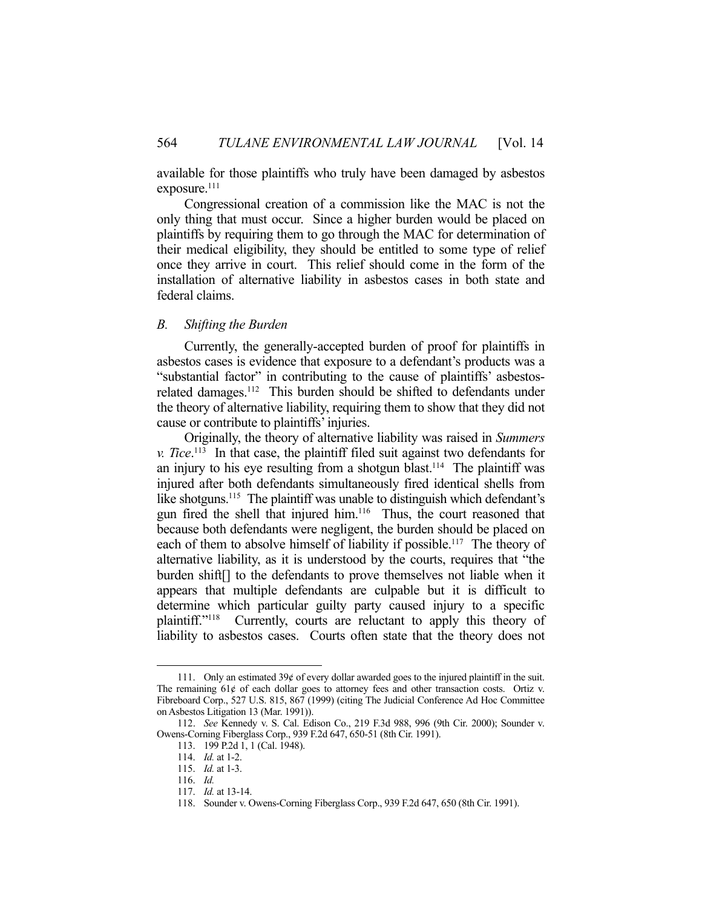available for those plaintiffs who truly have been damaged by asbestos exposure.<sup>111</sup>

 Congressional creation of a commission like the MAC is not the only thing that must occur. Since a higher burden would be placed on plaintiffs by requiring them to go through the MAC for determination of their medical eligibility, they should be entitled to some type of relief once they arrive in court. This relief should come in the form of the installation of alternative liability in asbestos cases in both state and federal claims.

## *B. Shifting the Burden*

 Currently, the generally-accepted burden of proof for plaintiffs in asbestos cases is evidence that exposure to a defendant's products was a "substantial factor" in contributing to the cause of plaintiffs' asbestosrelated damages.112 This burden should be shifted to defendants under the theory of alternative liability, requiring them to show that they did not cause or contribute to plaintiffs' injuries.

 Originally, the theory of alternative liability was raised in *Summers v. Tice*. 113 In that case, the plaintiff filed suit against two defendants for an injury to his eye resulting from a shotgun blast.<sup>114</sup> The plaintiff was injured after both defendants simultaneously fired identical shells from like shotguns.<sup>115</sup> The plaintiff was unable to distinguish which defendant's gun fired the shell that injured him.116 Thus, the court reasoned that because both defendants were negligent, the burden should be placed on each of them to absolve himself of liability if possible.<sup>117</sup> The theory of alternative liability, as it is understood by the courts, requires that "the burden shift[] to the defendants to prove themselves not liable when it appears that multiple defendants are culpable but it is difficult to determine which particular guilty party caused injury to a specific plaintiff."118 Currently, courts are reluctant to apply this theory of liability to asbestos cases. Courts often state that the theory does not

 <sup>111.</sup> Only an estimated 39¢ of every dollar awarded goes to the injured plaintiff in the suit. The remaining  $61¢$  of each dollar goes to attorney fees and other transaction costs. Ortiz v. Fibreboard Corp., 527 U.S. 815, 867 (1999) (citing The Judicial Conference Ad Hoc Committee on Asbestos Litigation 13 (Mar. 1991)).

 <sup>112.</sup> *See* Kennedy v. S. Cal. Edison Co., 219 F.3d 988, 996 (9th Cir. 2000); Sounder v. Owens-Corning Fiberglass Corp., 939 F.2d 647, 650-51 (8th Cir. 1991).

 <sup>113. 199</sup> P.2d 1, 1 (Cal. 1948).

 <sup>114.</sup> *Id.* at 1-2.

 <sup>115.</sup> *Id.* at 1-3.

 <sup>116.</sup> *Id.*

 <sup>117.</sup> *Id.* at 13-14.

 <sup>118.</sup> Sounder v. Owens-Corning Fiberglass Corp., 939 F.2d 647, 650 (8th Cir. 1991).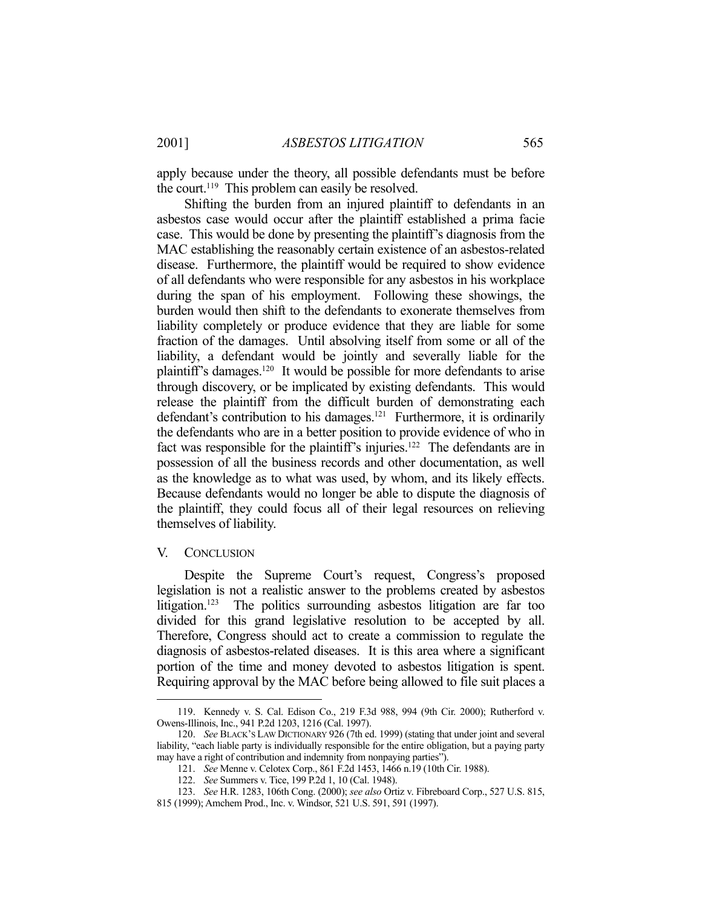apply because under the theory, all possible defendants must be before the court.<sup>119</sup> This problem can easily be resolved.

 Shifting the burden from an injured plaintiff to defendants in an asbestos case would occur after the plaintiff established a prima facie case. This would be done by presenting the plaintiff's diagnosis from the MAC establishing the reasonably certain existence of an asbestos-related disease. Furthermore, the plaintiff would be required to show evidence of all defendants who were responsible for any asbestos in his workplace during the span of his employment. Following these showings, the burden would then shift to the defendants to exonerate themselves from liability completely or produce evidence that they are liable for some fraction of the damages. Until absolving itself from some or all of the liability, a defendant would be jointly and severally liable for the plaintiff's damages.120 It would be possible for more defendants to arise through discovery, or be implicated by existing defendants. This would release the plaintiff from the difficult burden of demonstrating each defendant's contribution to his damages.<sup>121</sup> Furthermore, it is ordinarily the defendants who are in a better position to provide evidence of who in fact was responsible for the plaintiff's injuries.<sup>122</sup> The defendants are in possession of all the business records and other documentation, as well as the knowledge as to what was used, by whom, and its likely effects. Because defendants would no longer be able to dispute the diagnosis of the plaintiff, they could focus all of their legal resources on relieving themselves of liability.

### V. CONCLUSION

1

 Despite the Supreme Court's request, Congress's proposed legislation is not a realistic answer to the problems created by asbestos litigation.123 The politics surrounding asbestos litigation are far too divided for this grand legislative resolution to be accepted by all. Therefore, Congress should act to create a commission to regulate the diagnosis of asbestos-related diseases. It is this area where a significant portion of the time and money devoted to asbestos litigation is spent. Requiring approval by the MAC before being allowed to file suit places a

 <sup>119.</sup> Kennedy v. S. Cal. Edison Co., 219 F.3d 988, 994 (9th Cir. 2000); Rutherford v. Owens-Illinois, Inc., 941 P.2d 1203, 1216 (Cal. 1997).

 <sup>120.</sup> *See* BLACK'S LAW DICTIONARY 926 (7th ed. 1999) (stating that under joint and several liability, "each liable party is individually responsible for the entire obligation, but a paying party may have a right of contribution and indemnity from nonpaying parties").

 <sup>121.</sup> *See* Menne v. Celotex Corp., 861 F.2d 1453, 1466 n.19 (10th Cir. 1988).

 <sup>122.</sup> *See* Summers v. Tice, 199 P.2d 1, 10 (Cal. 1948).

 <sup>123.</sup> *See* H.R. 1283, 106th Cong. (2000); *see also* Ortiz v. Fibreboard Corp., 527 U.S. 815,

<sup>815 (1999);</sup> Amchem Prod., Inc. v. Windsor, 521 U.S. 591, 591 (1997).